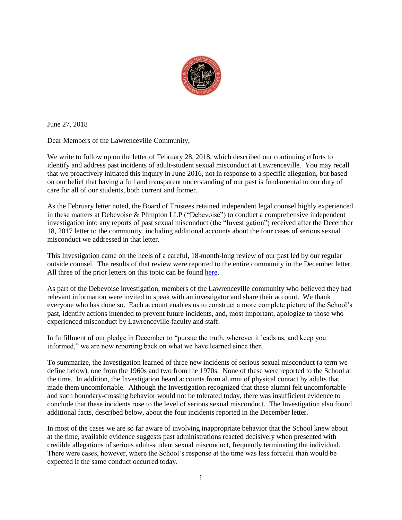

June 27, 2018

Dear Members of the Lawrenceville Community,

We write to follow up on the letter of February 28, 2018, which described our continuing efforts to identify and address past incidents of adult-student sexual misconduct at Lawrenceville. You may recall that we proactively initiated this inquiry in June 2016, not in response to a specific allegation, but based on our belief that having a full and transparent understanding of our past is fundamental to our duty of care for all of our students, both current and former.

As the February letter noted, the Board of Trustees retained independent legal counsel highly experienced in these matters at Debevoise & Plimpton LLP ("Debevoise") to conduct a comprehensive independent investigation into any reports of past sexual misconduct (the "Investigation") received after the December 18, 2017 letter to the community, including additional accounts about the four cases of serious sexual misconduct we addressed in that letter.

This Investigation came on the heels of a careful, 18-month-long review of our past led by our regular outside counsel. The results of that review were reported to the entire community in the December letter. All three of the prior letters on this topic can be found [here.](https://www.lawrenceville.org/page/about/administration/head-master)

As part of the Debevoise investigation, members of the Lawrenceville community who believed they had relevant information were invited to speak with an investigator and share their account. We thank everyone who has done so. Each account enables us to construct a more complete picture of the School's past, identify actions intended to prevent future incidents, and, most important, apologize to those who experienced misconduct by Lawrenceville faculty and staff.

In fulfillment of our pledge in December to "pursue the truth, wherever it leads us, and keep you informed," we are now reporting back on what we have learned since then.

To summarize, the Investigation learned of three new incidents of serious sexual misconduct (a term we define below), one from the 1960s and two from the 1970s. None of these were reported to the School at the time. In addition, the Investigation heard accounts from alumni of physical contact by adults that made them uncomfortable. Although the Investigation recognized that these alumni felt uncomfortable and such boundary-crossing behavior would not be tolerated today, there was insufficient evidence to conclude that these incidents rose to the level of serious sexual misconduct. The Investigation also found additional facts, described below, about the four incidents reported in the December letter.

In most of the cases we are so far aware of involving inappropriate behavior that the School knew about at the time, available evidence suggests past administrations reacted decisively when presented with credible allegations of serious adult-student sexual misconduct, frequently terminating the individual. There were cases, however, where the School's response at the time was less forceful than would be expected if the same conduct occurred today.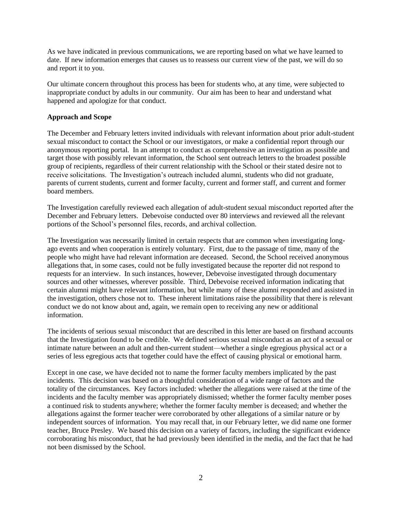As we have indicated in previous communications, we are reporting based on what we have learned to date. If new information emerges that causes us to reassess our current view of the past, we will do so and report it to you.

Our ultimate concern throughout this process has been for students who, at any time, were subjected to inappropriate conduct by adults in our community. Our aim has been to hear and understand what happened and apologize for that conduct.

### **Approach and Scope**

The December and February letters invited individuals with relevant information about prior adult-student sexual misconduct to contact the School or our investigators, or make a confidential report through our anonymous reporting portal. In an attempt to conduct as comprehensive an investigation as possible and target those with possibly relevant information, the School sent outreach letters to the broadest possible group of recipients, regardless of their current relationship with the School or their stated desire not to receive solicitations. The Investigation's outreach included alumni, students who did not graduate, parents of current students, current and former faculty, current and former staff, and current and former board members.

The Investigation carefully reviewed each allegation of adult-student sexual misconduct reported after the December and February letters. Debevoise conducted over 80 interviews and reviewed all the relevant portions of the School's personnel files, records, and archival collection.

The Investigation was necessarily limited in certain respects that are common when investigating longago events and when cooperation is entirely voluntary. First, due to the passage of time, many of the people who might have had relevant information are deceased. Second, the School received anonymous allegations that, in some cases, could not be fully investigated because the reporter did not respond to requests for an interview. In such instances, however, Debevoise investigated through documentary sources and other witnesses, wherever possible. Third, Debevoise received information indicating that certain alumni might have relevant information, but while many of these alumni responded and assisted in the investigation, others chose not to. These inherent limitations raise the possibility that there is relevant conduct we do not know about and, again, we remain open to receiving any new or additional information.

The incidents of serious sexual misconduct that are described in this letter are based on firsthand accounts that the Investigation found to be credible. We defined serious sexual misconduct as an act of a sexual or intimate nature between an adult and then-current student—whether a single egregious physical act or a series of less egregious acts that together could have the effect of causing physical or emotional harm.

Except in one case, we have decided not to name the former faculty members implicated by the past incidents. This decision was based on a thoughtful consideration of a wide range of factors and the totality of the circumstances. Key factors included: whether the allegations were raised at the time of the incidents and the faculty member was appropriately dismissed; whether the former faculty member poses a continued risk to students anywhere; whether the former faculty member is deceased; and whether the allegations against the former teacher were corroborated by other allegations of a similar nature or by independent sources of information. You may recall that, in our February letter, we did name one former teacher, Bruce Presley. We based this decision on a variety of factors, including the significant evidence corroborating his misconduct, that he had previously been identified in the media, and the fact that he had not been dismissed by the School.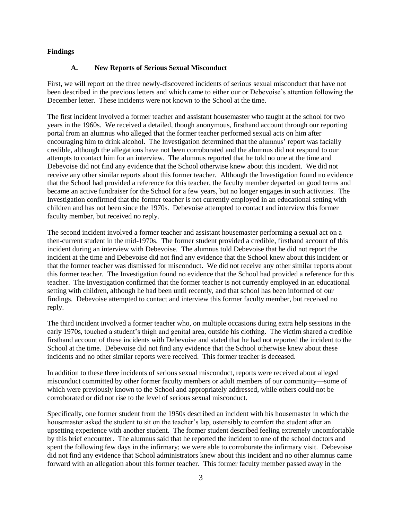### **Findings**

#### **A. New Reports of Serious Sexual Misconduct**

First, we will report on the three newly-discovered incidents of serious sexual misconduct that have not been described in the previous letters and which came to either our or Debevoise's attention following the December letter. These incidents were not known to the School at the time.

The first incident involved a former teacher and assistant housemaster who taught at the school for two years in the 1960s. We received a detailed, though anonymous, firsthand account through our reporting portal from an alumnus who alleged that the former teacher performed sexual acts on him after encouraging him to drink alcohol. The Investigation determined that the alumnus' report was facially credible, although the allegations have not been corroborated and the alumnus did not respond to our attempts to contact him for an interview. The alumnus reported that he told no one at the time and Debevoise did not find any evidence that the School otherwise knew about this incident. We did not receive any other similar reports about this former teacher. Although the Investigation found no evidence that the School had provided a reference for this teacher, the faculty member departed on good terms and became an active fundraiser for the School for a few years, but no longer engages in such activities. The Investigation confirmed that the former teacher is not currently employed in an educational setting with children and has not been since the 1970s. Debevoise attempted to contact and interview this former faculty member, but received no reply.

The second incident involved a former teacher and assistant housemaster performing a sexual act on a then-current student in the mid-1970s. The former student provided a credible, firsthand account of this incident during an interview with Debevoise. The alumnus told Debevoise that he did not report the incident at the time and Debevoise did not find any evidence that the School knew about this incident or that the former teacher was dismissed for misconduct. We did not receive any other similar reports about this former teacher. The Investigation found no evidence that the School had provided a reference for this teacher. The Investigation confirmed that the former teacher is not currently employed in an educational setting with children, although he had been until recently, and that school has been informed of our findings. Debevoise attempted to contact and interview this former faculty member, but received no reply.

The third incident involved a former teacher who, on multiple occasions during extra help sessions in the early 1970s, touched a student's thigh and genital area, outside his clothing. The victim shared a credible firsthand account of these incidents with Debevoise and stated that he had not reported the incident to the School at the time. Debevoise did not find any evidence that the School otherwise knew about these incidents and no other similar reports were received. This former teacher is deceased.

In addition to these three incidents of serious sexual misconduct, reports were received about alleged misconduct committed by other former faculty members or adult members of our community—some of which were previously known to the School and appropriately addressed, while others could not be corroborated or did not rise to the level of serious sexual misconduct.

Specifically, one former student from the 1950s described an incident with his housemaster in which the housemaster asked the student to sit on the teacher's lap, ostensibly to comfort the student after an upsetting experience with another student. The former student described feeling extremely uncomfortable by this brief encounter. The alumnus said that he reported the incident to one of the school doctors and spent the following few days in the infirmary; we were able to corroborate the infirmary visit. Debevoise did not find any evidence that School administrators knew about this incident and no other alumnus came forward with an allegation about this former teacher. This former faculty member passed away in the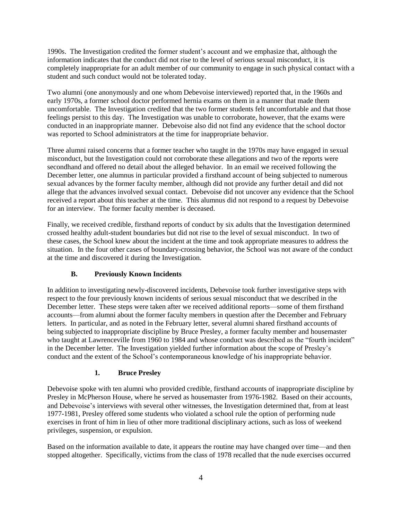1990s. The Investigation credited the former student's account and we emphasize that, although the information indicates that the conduct did not rise to the level of serious sexual misconduct, it is completely inappropriate for an adult member of our community to engage in such physical contact with a student and such conduct would not be tolerated today.

Two alumni (one anonymously and one whom Debevoise interviewed) reported that, in the 1960s and early 1970s, a former school doctor performed hernia exams on them in a manner that made them uncomfortable. The Investigation credited that the two former students felt uncomfortable and that those feelings persist to this day. The Investigation was unable to corroborate, however, that the exams were conducted in an inappropriate manner. Debevoise also did not find any evidence that the school doctor was reported to School administrators at the time for inappropriate behavior.

Three alumni raised concerns that a former teacher who taught in the 1970s may have engaged in sexual misconduct, but the Investigation could not corroborate these allegations and two of the reports were secondhand and offered no detail about the alleged behavior. In an email we received following the December letter, one alumnus in particular provided a firsthand account of being subjected to numerous sexual advances by the former faculty member, although did not provide any further detail and did not allege that the advances involved sexual contact. Debevoise did not uncover any evidence that the School received a report about this teacher at the time. This alumnus did not respond to a request by Debevoise for an interview. The former faculty member is deceased.

Finally, we received credible, firsthand reports of conduct by six adults that the Investigation determined crossed healthy adult-student boundaries but did not rise to the level of sexual misconduct. In two of these cases, the School knew about the incident at the time and took appropriate measures to address the situation. In the four other cases of boundary-crossing behavior, the School was not aware of the conduct at the time and discovered it during the Investigation.

# **B. Previously Known Incidents**

In addition to investigating newly-discovered incidents, Debevoise took further investigative steps with respect to the four previously known incidents of serious sexual misconduct that we described in the December letter. These steps were taken after we received additional reports—some of them firsthand accounts—from alumni about the former faculty members in question after the December and February letters. In particular, and as noted in the February letter, several alumni shared firsthand accounts of being subjected to inappropriate discipline by Bruce Presley, a former faculty member and housemaster who taught at Lawrenceville from 1960 to 1984 and whose conduct was described as the "fourth incident" in the December letter. The Investigation yielded further information about the scope of Presley's conduct and the extent of the School's contemporaneous knowledge of his inappropriate behavior.

## **1. Bruce Presley**

Debevoise spoke with ten alumni who provided credible, firsthand accounts of inappropriate discipline by Presley in McPherson House, where he served as housemaster from 1976-1982. Based on their accounts, and Debevoise's interviews with several other witnesses, the Investigation determined that, from at least 1977-1981, Presley offered some students who violated a school rule the option of performing nude exercises in front of him in lieu of other more traditional disciplinary actions, such as loss of weekend privileges, suspension, or expulsion.

Based on the information available to date, it appears the routine may have changed over time—and then stopped altogether. Specifically, victims from the class of 1978 recalled that the nude exercises occurred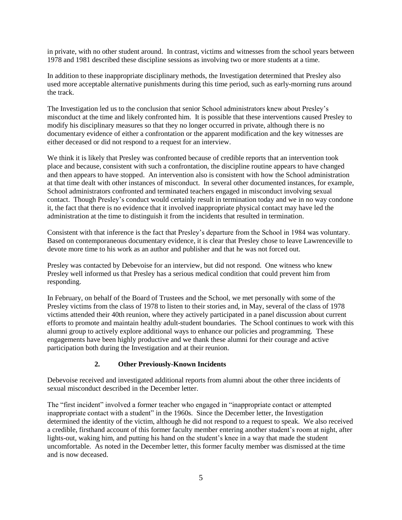in private, with no other student around. In contrast, victims and witnesses from the school years between 1978 and 1981 described these discipline sessions as involving two or more students at a time.

In addition to these inappropriate disciplinary methods, the Investigation determined that Presley also used more acceptable alternative punishments during this time period, such as early-morning runs around the track.

The Investigation led us to the conclusion that senior School administrators knew about Presley's misconduct at the time and likely confronted him. It is possible that these interventions caused Presley to modify his disciplinary measures so that they no longer occurred in private, although there is no documentary evidence of either a confrontation or the apparent modification and the key witnesses are either deceased or did not respond to a request for an interview.

We think it is likely that Presley was confronted because of credible reports that an intervention took place and because, consistent with such a confrontation, the discipline routine appears to have changed and then appears to have stopped. An intervention also is consistent with how the School administration at that time dealt with other instances of misconduct. In several other documented instances, for example, School administrators confronted and terminated teachers engaged in misconduct involving sexual contact. Though Presley's conduct would certainly result in termination today and we in no way condone it, the fact that there is no evidence that it involved inappropriate physical contact may have led the administration at the time to distinguish it from the incidents that resulted in termination.

Consistent with that inference is the fact that Presley's departure from the School in 1984 was voluntary. Based on contemporaneous documentary evidence, it is clear that Presley chose to leave Lawrenceville to devote more time to his work as an author and publisher and that he was not forced out.

Presley was contacted by Debevoise for an interview, but did not respond. One witness who knew Presley well informed us that Presley has a serious medical condition that could prevent him from responding.

In February, on behalf of the Board of Trustees and the School, we met personally with some of the Presley victims from the class of 1978 to listen to their stories and, in May, several of the class of 1978 victims attended their 40th reunion, where they actively participated in a panel discussion about current efforts to promote and maintain healthy adult-student boundaries. The School continues to work with this alumni group to actively explore additional ways to enhance our policies and programming. These engagements have been highly productive and we thank these alumni for their courage and active participation both during the Investigation and at their reunion.

## **2. Other Previously-Known Incidents**

Debevoise received and investigated additional reports from alumni about the other three incidents of sexual misconduct described in the December letter.

The "first incident" involved a former teacher who engaged in "inappropriate contact or attempted inappropriate contact with a student" in the 1960s. Since the December letter, the Investigation determined the identity of the victim, although he did not respond to a request to speak. We also received a credible, firsthand account of this former faculty member entering another student's room at night, after lights-out, waking him, and putting his hand on the student's knee in a way that made the student uncomfortable. As noted in the December letter, this former faculty member was dismissed at the time and is now deceased.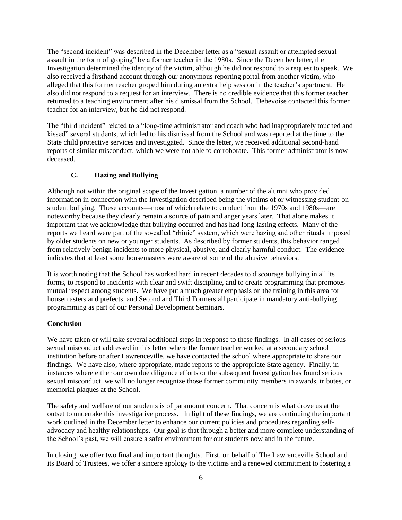The "second incident" was described in the December letter as a "sexual assault or attempted sexual assault in the form of groping" by a former teacher in the 1980s. Since the December letter, the Investigation determined the identity of the victim, although he did not respond to a request to speak. We also received a firsthand account through our anonymous reporting portal from another victim, who alleged that this former teacher groped him during an extra help session in the teacher's apartment. He also did not respond to a request for an interview. There is no credible evidence that this former teacher returned to a teaching environment after his dismissal from the School. Debevoise contacted this former teacher for an interview, but he did not respond.

The "third incident" related to a "long-time administrator and coach who had inappropriately touched and kissed" several students, which led to his dismissal from the School and was reported at the time to the State child protective services and investigated. Since the letter, we received additional second-hand reports of similar misconduct, which we were not able to corroborate. This former administrator is now deceased.

## **C. Hazing and Bullying**

Although not within the original scope of the Investigation, a number of the alumni who provided information in connection with the Investigation described being the victims of or witnessing student-onstudent bullying. These accounts—most of which relate to conduct from the 1970s and 1980s—are noteworthy because they clearly remain a source of pain and anger years later. That alone makes it important that we acknowledge that bullying occurred and has had long-lasting effects. Many of the reports we heard were part of the so-called "rhinie" system, which were hazing and other rituals imposed by older students on new or younger students. As described by former students, this behavior ranged from relatively benign incidents to more physical, abusive, and clearly harmful conduct. The evidence indicates that at least some housemasters were aware of some of the abusive behaviors.

It is worth noting that the School has worked hard in recent decades to discourage bullying in all its forms, to respond to incidents with clear and swift discipline, and to create programming that promotes mutual respect among students. We have put a much greater emphasis on the training in this area for housemasters and prefects, and Second and Third Formers all participate in mandatory anti-bullying programming as part of our Personal Development Seminars.

## **Conclusion**

We have taken or will take several additional steps in response to these findings. In all cases of serious sexual misconduct addressed in this letter where the former teacher worked at a secondary school institution before or after Lawrenceville, we have contacted the school where appropriate to share our findings. We have also, where appropriate, made reports to the appropriate State agency. Finally, in instances where either our own due diligence efforts or the subsequent Investigation has found serious sexual misconduct, we will no longer recognize those former community members in awards, tributes, or memorial plaques at the School.

The safety and welfare of our students is of paramount concern. That concern is what drove us at the outset to undertake this investigative process. In light of these findings, we are continuing the important work outlined in the December letter to enhance our current policies and procedures regarding selfadvocacy and healthy relationships. Our goal is that through a better and more complete understanding of the School's past, we will ensure a safer environment for our students now and in the future.

In closing, we offer two final and important thoughts. First, on behalf of The Lawrenceville School and its Board of Trustees, we offer a sincere apology to the victims and a renewed commitment to fostering a